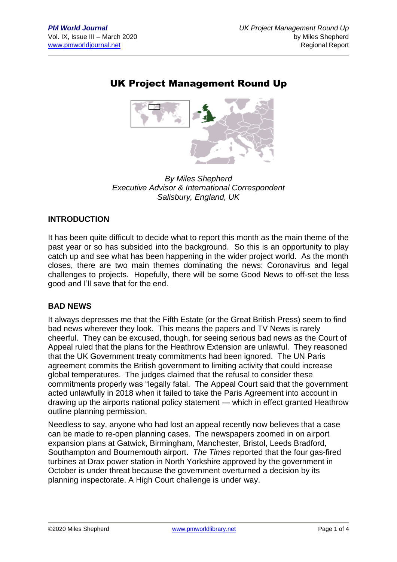## UK Project Management Round Up



*By Miles Shepherd Executive Advisor & International Correspondent Salisbury, England, UK*

#### **INTRODUCTION**

It has been quite difficult to decide what to report this month as the main theme of the past year or so has subsided into the background. So this is an opportunity to play catch up and see what has been happening in the wider project world. As the month closes, there are two main themes dominating the news: Coronavirus and legal challenges to projects. Hopefully, there will be some Good News to off-set the less good and I'll save that for the end.

#### **BAD NEWS**

It always depresses me that the Fifth Estate (or the Great British Press) seem to find bad news wherever they look. This means the papers and TV News is rarely cheerful. They can be excused, though, for seeing serious bad news as the Court of Appeal ruled that the plans for the Heathrow Extension are unlawful. They reasoned that the UK Government treaty commitments had been ignored. The UN Paris agreement commits the British government to limiting activity that could increase global temperatures. The judges claimed that the refusal to consider these commitments properly was "legally fatal. The Appeal Court said that the government acted unlawfully in 2018 when it failed to take the Paris Agreement into account in drawing up the airports national policy statement — which in effect granted Heathrow outline planning permission.

Needless to say, anyone who had lost an appeal recently now believes that a case can be made to re-open planning cases. The newspapers zoomed in on airport expansion plans at Gatwick, Birmingham, Manchester, Bristol, Leeds Bradford, Southampton and Bournemouth airport. *The Times* reported that the four gas-fired turbines at Drax power station in North Yorkshire approved by the government in October is under threat because the government overturned a decision by its planning inspectorate. A High Court challenge is under way.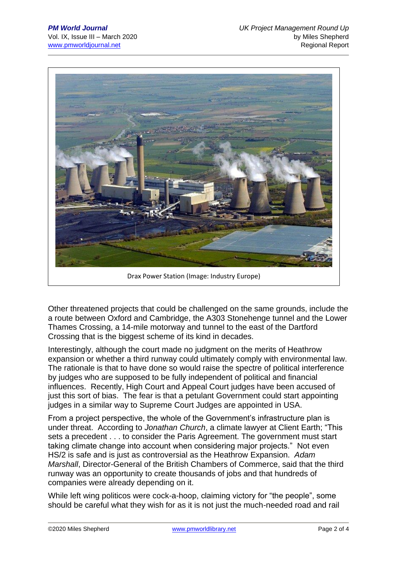

Drax Power Station (Image: Industry Europe)

Other threatened projects that could be challenged on the same grounds, include the a route between Oxford and Cambridge, the A303 Stonehenge tunnel and the Lower Thames Crossing, a 14-mile motorway and tunnel to the east of the Dartford Crossing that is the biggest scheme of its kind in decades.

Interestingly, although the court made no judgment on the merits of Heathrow expansion or whether a third runway could ultimately comply with environmental law. The rationale is that to have done so would raise the spectre of political interference by judges who are supposed to be fully independent of political and financial influences. Recently, High Court and Appeal Court judges have been accused of just this sort of bias. The fear is that a petulant Government could start appointing judges in a similar way to Supreme Court Judges are appointed in USA.

From a project perspective, the whole of the Government's infrastructure plan is under threat. According to *Jonathan Church*, a climate lawyer at Client Earth; "This sets a precedent . . . to consider the Paris Agreement. The government must start taking climate change into account when considering major projects." Not even HS/2 is safe and is just as controversial as the Heathrow Expansion. *Adam Marshall*, Director-General of the British Chambers of Commerce, said that the third runway was an opportunity to create thousands of jobs and that hundreds of companies were already depending on it.

While left wing politicos were cock-a-hoop, claiming victory for "the people", some should be careful what they wish for as it is not just the much-needed road and rail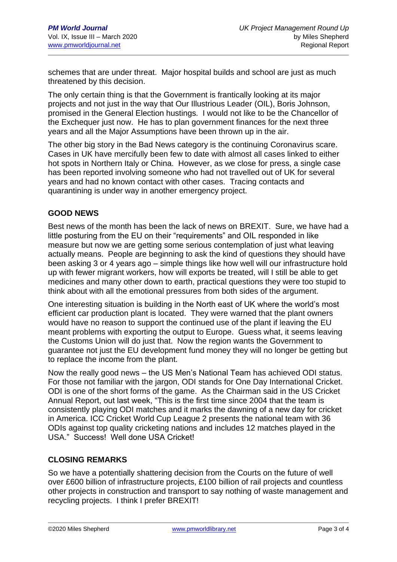schemes that are under threat. Major hospital builds and school are just as much threatened by this decision.

The only certain thing is that the Government is frantically looking at its major projects and not just in the way that Our Illustrious Leader (OIL), Boris Johnson, promised in the General Election hustings. I would not like to be the Chancellor of the Exchequer just now. He has to plan government finances for the next three years and all the Major Assumptions have been thrown up in the air.

The other big story in the Bad News category is the continuing Coronavirus scare. Cases in UK have mercifully been few to date with almost all cases linked to either hot spots in Northern Italy or China. However, as we close for press, a single case has been reported involving someone who had not travelled out of UK for several years and had no known contact with other cases. Tracing contacts and quarantining is under way in another emergency project.

#### **GOOD NEWS**

Best news of the month has been the lack of news on BREXIT. Sure, we have had a little posturing from the EU on their "requirements" and OIL responded in like measure but now we are getting some serious contemplation of just what leaving actually means. People are beginning to ask the kind of questions they should have been asking 3 or 4 years ago – simple things like how well will our infrastructure hold up with fewer migrant workers, how will exports be treated, will I still be able to get medicines and many other down to earth, practical questions they were too stupid to think about with all the emotional pressures from both sides of the argument.

One interesting situation is building in the North east of UK where the world's most efficient car production plant is located. They were warned that the plant owners would have no reason to support the continued use of the plant if leaving the EU meant problems with exporting the output to Europe. Guess what, it seems leaving the Customs Union will do just that. Now the region wants the Government to guarantee not just the EU development fund money they will no longer be getting but to replace the income from the plant.

Now the really good news – the US Men's National Team has achieved ODI status. For those not familiar with the jargon, ODI stands for One Day International Cricket. ODI is one of the short forms of the game. As the Chairman said in the US Cricket Annual Report, out last week, "This is the first time since 2004 that the team is consistently playing ODI matches and it marks the dawning of a new day for cricket in America. ICC Cricket World Cup League 2 presents the national team with 36 ODIs against top quality cricketing nations and includes 12 matches played in the USA." Success! Well done USA Cricket!

#### **CLOSING REMARKS**

So we have a potentially shattering decision from the Courts on the future of well over £600 billion of infrastructure projects, £100 billion of rail projects and countless other projects in construction and transport to say nothing of waste management and recycling projects. I think I prefer BREXIT!